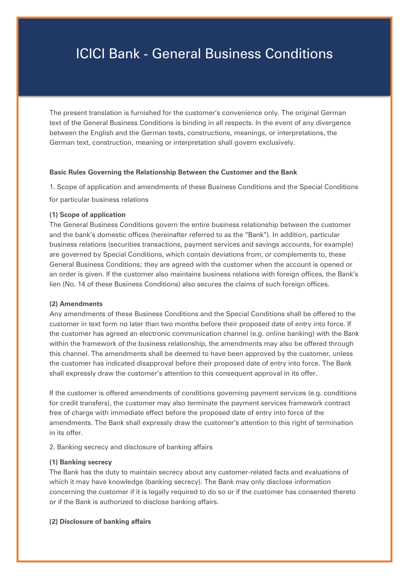# ICICI Bank - General Business Conditions

The present translation is furnished for the customer's convenience only. The original German text of the General Business Conditions is binding in all respects. In the event of any divergence between the English and the German texts, constructions, meanings, or interpretations, the German text, construction, meaning or interpretation shall govern exclusively.

#### **Basic Rules Governing the Relationship Between the Customer and the Bank**

1. Scope of application and amendments of these Business Conditions and the Special Conditions for particular business relations

#### **(1) Scope of application**

The General Business Conditions govern the entire business relationship between the customer and the bank's domestic offices (hereinafter referred to as the "Bank"). In addition, particular business relations (securities transactions, payment services and savings accounts, for example) are governed by Special Conditions, which contain deviations from, or complements to, these General Business Conditions; they are agreed with the customer when the account is opened or an order is given. If the customer also maintains business relations with foreign offices, the Bank's lien (No. 14 of these Business Conditions) also secures the claims of such foreign offices.

#### **(2) Amendments**

Any amendments of these Business Conditions and the Special Conditions shall be offered to the customer in text form no later than two months before their proposed date of entry into force. If the customer has agreed an electronic communication channel (e.g. online banking) with the Bank within the framework of the business relationship, the amendments may also be offered through this channel. The amendments shall be deemed to have been approved by the customer, unless the customer has indicated disapproval before their proposed date of entry into force. The Bank shall expressly draw the customer's attention to this consequent approval in its offer.

If the customer is offered amendments of conditions governing payment services (e.g. conditions for credit transfers), the customer may also terminate the payment services framework contract free of charge with immediate effect before the proposed date of entry into force of the amendments. The Bank shall expressly draw the customer's attention to this right of termination in its offer.

2. Banking secrecy and disclosure of banking affairs

#### **(1) Banking secrecy**

The Bank has the duty to maintain secrecy about any customer-related facts and evaluations of which it may have knowledge (banking secrecy). The Bank may only disclose information concerning the customer if it is legally required to do so or if the customer has consented thereto or if the Bank is authorized to disclose banking affairs.

#### **(2) Disclosure of banking affairs**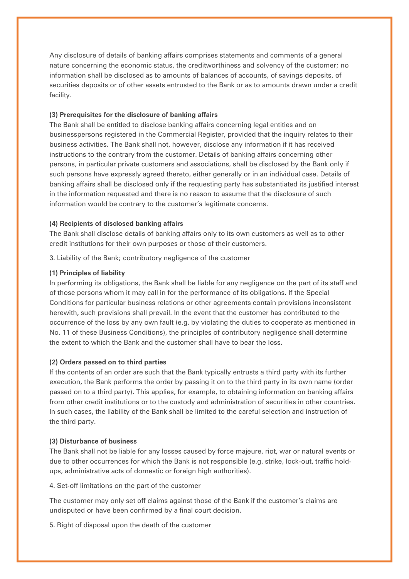Any disclosure of details of banking affairs comprises statements and comments of a general nature concerning the economic status, the creditworthiness and solvency of the customer; no information shall be disclosed as to amounts of balances of accounts, of savings deposits, of securities deposits or of other assets entrusted to the Bank or as to amounts drawn under a credit facility.

# **(3) Prerequisites for the disclosure of banking affairs**

The Bank shall be entitled to disclose banking affairs concerning legal entities and on businesspersons registered in the Commercial Register, provided that the inquiry relates to their business activities. The Bank shall not, however, disclose any information if it has received instructions to the contrary from the customer. Details of banking affairs concerning other persons, in particular private customers and associations, shall be disclosed by the Bank only if such persons have expressly agreed thereto, either generally or in an individual case. Details of banking affairs shall be disclosed only if the requesting party has substantiated its justified interest in the information requested and there is no reason to assume that the disclosure of such information would be contrary to the customer's legitimate concerns.

## **(4) Recipients of disclosed banking affairs**

The Bank shall disclose details of banking affairs only to its own customers as well as to other credit institutions for their own purposes or those of their customers.

3. Liability of the Bank; contributory negligence of the customer

## **(1) Principles of liability**

In performing its obligations, the Bank shall be liable for any negligence on the part of its staff and of those persons whom it may call in for the performance of its obligations. If the Special Conditions for particular business relations or other agreements contain provisions inconsistent herewith, such provisions shall prevail. In the event that the customer has contributed to the occurrence of the loss by any own fault (e.g. by violating the duties to cooperate as mentioned in No. 11 of these Business Conditions), the principles of contributory negligence shall determine the extent to which the Bank and the customer shall have to bear the loss.

# **(2) Orders passed on to third parties**

If the contents of an order are such that the Bank typically entrusts a third party with its further execution, the Bank performs the order by passing it on to the third party in its own name (order passed on to a third party). This applies, for example, to obtaining information on banking affairs from other credit institutions or to the custody and administration of securities in other countries. In such cases, the liability of the Bank shall be limited to the careful selection and instruction of the third party.

## **(3) Disturbance of business**

The Bank shall not be liable for any losses caused by force majeure, riot, war or natural events or due to other occurrences for which the Bank is not responsible (e.g. strike, lock-out, traffic holdups, administrative acts of domestic or foreign high authorities).

4. Set-off limitations on the part of the customer

The customer may only set off claims against those of the Bank if the customer's claims are undisputed or have been confirmed by a final court decision.

5. Right of disposal upon the death of the customer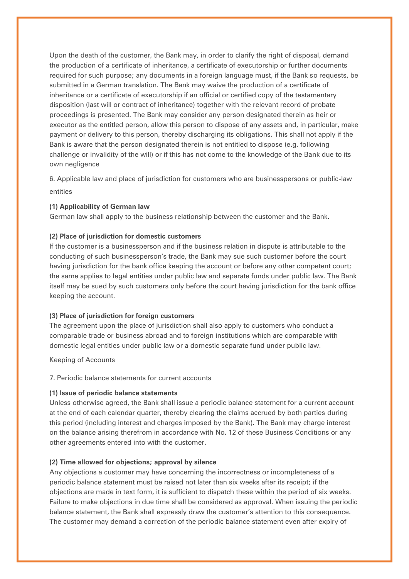Upon the death of the customer, the Bank may, in order to clarify the right of disposal, demand the production of a certificate of inheritance, a certificate of executorship or further documents required for such purpose; any documents in a foreign language must, if the Bank so requests, be submitted in a German translation. The Bank may waive the production of a certificate of inheritance or a certificate of executorship if an official or certified copy of the testamentary disposition (last will or contract of inheritance) together with the relevant record of probate proceedings is presented. The Bank may consider any person designated therein as heir or executor as the entitled person, allow this person to dispose of any assets and, in particular, make payment or delivery to this person, thereby discharging its obligations. This shall not apply if the Bank is aware that the person designated therein is not entitled to dispose (e.g. following challenge or invalidity of the will) or if this has not come to the knowledge of the Bank due to its own negligence

6. Applicable law and place of jurisdiction for customers who are businesspersons or public-law entities

## **(1) Applicability of German law**

German law shall apply to the business relationship between the customer and the Bank.

## **(2) Place of jurisdiction for domestic customers**

If the customer is a businessperson and if the business relation in dispute is attributable to the conducting of such businessperson's trade, the Bank may sue such customer before the court having jurisdiction for the bank office keeping the account or before any other competent court; the same applies to legal entities under public law and separate funds under public law. The Bank itself may be sued by such customers only before the court having jurisdiction for the bank office keeping the account.

## **(3) Place of jurisdiction for foreign customers**

The agreement upon the place of jurisdiction shall also apply to customers who conduct a comparable trade or business abroad and to foreign institutions which are comparable with domestic legal entities under public law or a domestic separate fund under public law.

Keeping of Accounts

## 7. Periodic balance statements for current accounts

## **(1) Issue of periodic balance statements**

Unless otherwise agreed, the Bank shall issue a periodic balance statement for a current account at the end of each calendar quarter, thereby clearing the claims accrued by both parties during this period (including interest and charges imposed by the Bank). The Bank may charge interest on the balance arising therefrom in accordance with No. 12 of these Business Conditions or any other agreements entered into with the customer.

## **(2) Time allowed for objections; approval by silence**

Any objections a customer may have concerning the incorrectness or incompleteness of a periodic balance statement must be raised not later than six weeks after its receipt; if the objections are made in text form, it is sufficient to dispatch these within the period of six weeks. Failure to make objections in due time shall be considered as approval. When issuing the periodic balance statement, the Bank shall expressly draw the customer's attention to this consequence. The customer may demand a correction of the periodic balance statement even after expiry of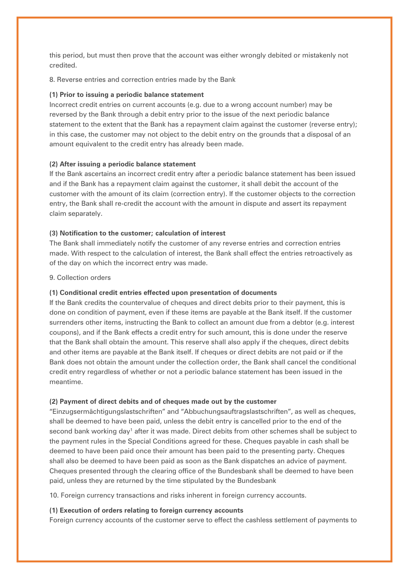this period, but must then prove that the account was either wrongly debited or mistakenly not credited.

8. Reverse entries and correction entries made by the Bank

## **(1) Prior to issuing a periodic balance statement**

Incorrect credit entries on current accounts (e.g. due to a wrong account number) may be reversed by the Bank through a debit entry prior to the issue of the next periodic balance statement to the extent that the Bank has a repayment claim against the customer (reverse entry); in this case, the customer may not object to the debit entry on the grounds that a disposal of an amount equivalent to the credit entry has already been made.

## **(2) After issuing a periodic balance statement**

If the Bank ascertains an incorrect credit entry after a periodic balance statement has been issued and if the Bank has a repayment claim against the customer, it shall debit the account of the customer with the amount of its claim (correction entry). If the customer objects to the correction entry, the Bank shall re-credit the account with the amount in dispute and assert its repayment claim separately.

## **(3) Notification to the customer; calculation of interest**

The Bank shall immediately notify the customer of any reverse entries and correction entries made. With respect to the calculation of interest, the Bank shall effect the entries retroactively as of the day on which the incorrect entry was made.

9. Collection orders

## **(1) Conditional credit entries effected upon presentation of documents**

If the Bank credits the countervalue of cheques and direct debits prior to their payment, this is done on condition of payment, even if these items are payable at the Bank itself. If the customer surrenders other items, instructing the Bank to collect an amount due from a debtor (e.g. interest coupons), and if the Bank effects a credit entry for such amount, this is done under the reserve that the Bank shall obtain the amount. This reserve shall also apply if the cheques, direct debits and other items are payable at the Bank itself. If cheques or direct debits are not paid or if the Bank does not obtain the amount under the collection order, the Bank shall cancel the conditional credit entry regardless of whether or not a periodic balance statement has been issued in the meantime.

## **(2) Payment of direct debits and of cheques made out by the customer**

"Einzugsermächtigungslastschriften" and "Abbuchungsauftragslastschriften", as well as cheques, shall be deemed to have been paid, unless the debit entry is cancelled prior to the end of the second bank working day<sup>1</sup> after it was made. Direct debits from other schemes shall be subject to the payment rules in the Special Conditions agreed for these. Cheques payable in cash shall be deemed to have been paid once their amount has been paid to the presenting party. Cheques shall also be deemed to have been paid as soon as the Bank dispatches an advice of payment. Cheques presented through the clearing office of the Bundesbank shall be deemed to have been paid, unless they are returned by the time stipulated by the Bundesbank

10. Foreign currency transactions and risks inherent in foreign currency accounts.

## **(1) Execution of orders relating to foreign currency accounts**

Foreign currency accounts of the customer serve to effect the cashless settlement of payments to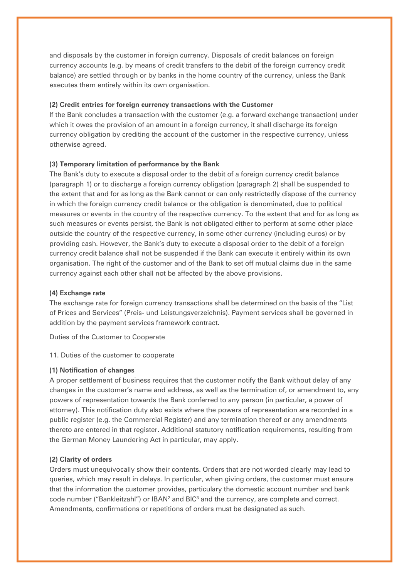and disposals by the customer in foreign currency. Disposals of credit balances on foreign currency accounts (e.g. by means of credit transfers to the debit of the foreign currency credit balance) are settled through or by banks in the home country of the currency, unless the Bank executes them entirely within its own organisation.

## **(2) Credit entries for foreign currency transactions with the Customer**

If the Bank concludes a transaction with the customer (e.g. a forward exchange transaction) under which it owes the provision of an amount in a foreign currency, it shall discharge its foreign currency obligation by crediting the account of the customer in the respective currency, unless otherwise agreed.

## **(3) Temporary limitation of performance by the Bank**

The Bank's duty to execute a disposal order to the debit of a foreign currency credit balance (paragraph 1) or to discharge a foreign currency obligation (paragraph 2) shall be suspended to the extent that and for as long as the Bank cannot or can only restrictedly dispose of the currency in which the foreign currency credit balance or the obligation is denominated, due to political measures or events in the country of the respective currency. To the extent that and for as long as such measures or events persist, the Bank is not obligated either to perform at some other place outside the country of the respective currency, in some other currency (including euros) or by providing cash. However, the Bank's duty to execute a disposal order to the debit of a foreign currency credit balance shall not be suspended if the Bank can execute it entirely within its own organisation. The right of the customer and of the Bank to set off mutual claims due in the same currency against each other shall not be affected by the above provisions.

## **(4) Exchange rate**

The exchange rate for foreign currency transactions shall be determined on the basis of the "List of Prices and Services" (Preis- und Leistungsverzeichnis). Payment services shall be governed in addition by the payment services framework contract.

Duties of the Customer to Cooperate

## 11. Duties of the customer to cooperate

## **(1) Notification of changes**

A proper settlement of business requires that the customer notify the Bank without delay of any changes in the customer's name and address, as well as the termination of, or amendment to, any powers of representation towards the Bank conferred to any person (in particular, a power of attorney). This notification duty also exists where the powers of representation are recorded in a public register (e.g. the Commercial Register) and any termination thereof or any amendments thereto are entered in that register. Additional statutory notification requirements, resulting from the German Money Laundering Act in particular, may apply.

# **(2) Clarity of orders**

Orders must unequivocally show their contents. Orders that are not worded clearly may lead to queries, which may result in delays. In particular, when giving orders, the customer must ensure that the information the customer provides, particulary the domestic account number and bank code number ("Bankleitzahl") or IBAN<sup>2</sup> and BIC<sup>3</sup> and the currency, are complete and correct. Amendments, confirmations or repetitions of orders must be designated as such.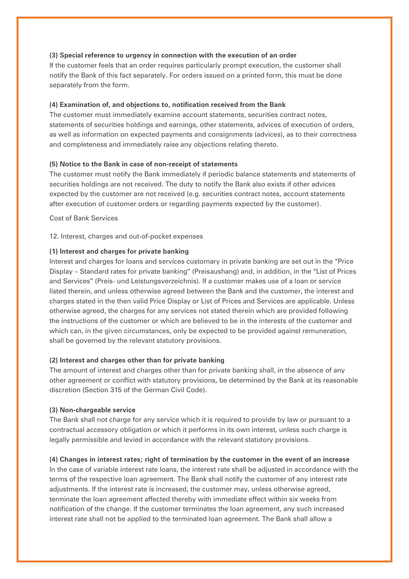## **(3) Special reference to urgency in connection with the execution of an order**

If the customer feels that an order requires particularly prompt execution, the customer shall notify the Bank of this fact separately. For orders issued on a printed form, this must be done separately from the form.

#### **(4) Examination of, and objections to, notification received from the Bank**

The customer must immediately examine account statements, securities contract notes, statements of securities holdings and earnings, other statements, advices of execution of orders, as well as information on expected payments and consignments (advices), as to their correctness and completeness and immediately raise any objections relating thereto.

## **(5) Notice to the Bank in case of non-receipt of statements**

The customer must notify the Bank immediately if periodic balance statements and statements of securities holdings are not received. The duty to notify the Bank also exists if other advices expected by the customer are not received (e.g. securities contract notes, account statements after execution of customer orders or regarding payments expected by the customer).

## Cost of Bank Services

12. Interest, charges and out-of-pocket expenses

## **(1) Interest and charges for private banking**

Interest and charges for loans and services customary in private banking are set out in the "Price Display – Standard rates for private banking" (Preisaushang) and, in addition, in the "List of Prices and Services" (Preis- und Leistungsverzeichnis). If a customer makes use of a loan or service listed therein, and unless otherwise agreed between the Bank and the customer, the interest and charges stated in the then valid Price Display or List of Prices and Services are applicable. Unless otherwise agreed, the charges for any services not stated therein which are provided following the instructions of the customer or which are believed to be in the interests of the customer and which can, in the given circumstances, only be expected to be provided against remuneration, shall be governed by the relevant statutory provisions.

#### **(2) Interest and charges other than for private banking**

The amount of interest and charges other than for private banking shall, in the absence of any other agreement or conflict with statutory provisions, be determined by the Bank at its reasonable discretion (Section 315 of the German Civil Code).

### **(3) Non-chargeable service**

The Bank shall not charge for any service which it is required to provide by law or pursuant to a contractual accessory obligation or which it performs in its own interest, unless such charge is legally permissible and levied in accordance with the relevant statutory provisions.

## **(4) Changes in interest rates; right of termination by the customer in the event of an increase**

In the case of variable interest rate loans, the interest rate shall be adjusted in accordance with the terms of the respective loan agreement. The Bank shall notify the customer of any interest rate adjustments. If the interest rate is increased, the customer may, unless otherwise agreed, terminate the loan agreement affected thereby with immediate effect within six weeks from notification of the change. If the customer terminates the loan agreement, any such increased interest rate shall not be applied to the terminated loan agreement. The Bank shall allow a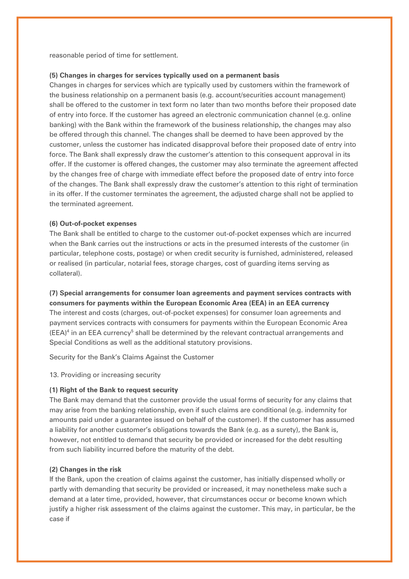reasonable period of time for settlement.

#### **(5) Changes in charges for services typically used on a permanent basis**

Changes in charges for services which are typically used by customers within the framework of the business relationship on a permanent basis (e.g. account/securities account management) shall be offered to the customer in text form no later than two months before their proposed date of entry into force. If the customer has agreed an electronic communication channel (e.g. online banking) with the Bank within the framework of the business relationship, the changes may also be offered through this channel. The changes shall be deemed to have been approved by the customer, unless the customer has indicated disapproval before their proposed date of entry into force. The Bank shall expressly draw the customer's attention to this consequent approval in its offer. If the customer is offered changes, the customer may also terminate the agreement affected by the changes free of charge with immediate effect before the proposed date of entry into force of the changes. The Bank shall expressly draw the customer's attention to this right of termination in its offer. If the customer terminates the agreement, the adjusted charge shall not be applied to the terminated agreement.

#### **(6) Out-of-pocket expenses**

The Bank shall be entitled to charge to the customer out-of-pocket expenses which are incurred when the Bank carries out the instructions or acts in the presumed interests of the customer (in particular, telephone costs, postage) or when credit security is furnished, administered, released or realised (in particular, notarial fees, storage charges, cost of guarding items serving as collateral).

**(7) Special arrangements for consumer loan agreements and payment services contracts with consumers for payments within the European Economic Area (EEA) in an EEA currency** The interest and costs (charges, out-of-pocket expenses) for consumer loan agreements and payment services contracts with consumers for payments within the European Economic Area  $(EEA)^4$  in an EEA currency<sup>5</sup> shall be determined by the relevant contractual arrangements and Special Conditions as well as the additional statutory provisions.

Security for the Bank's Claims Against the Customer

## 13. Providing or increasing security

## **(1) Right of the Bank to request security**

The Bank may demand that the customer provide the usual forms of security for any claims that may arise from the banking relationship, even if such claims are conditional (e.g. indemnity for amounts paid under a guarantee issued on behalf of the customer). If the customer has assumed a liability for another customer's obligations towards the Bank (e.g. as a surety), the Bank is, however, not entitled to demand that security be provided or increased for the debt resulting from such liability incurred before the maturity of the debt.

#### **(2) Changes in the risk**

If the Bank, upon the creation of claims against the customer, has initially dispensed wholly or partly with demanding that security be provided or increased, it may nonetheless make such a demand at a later time, provided, however, that circumstances occur or become known which justify a higher risk assessment of the claims against the customer. This may, in particular, be the case if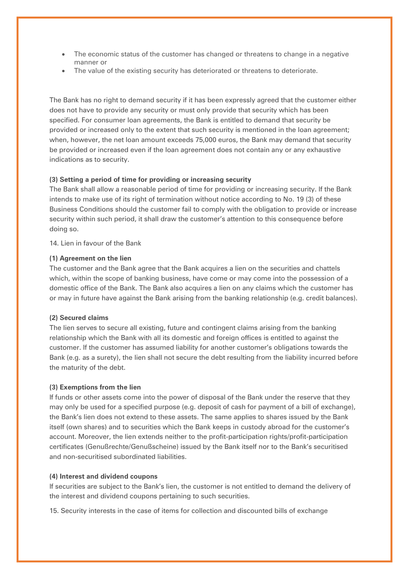- The economic status of the customer has changed or threatens to change in a negative manner or
- The value of the existing security has deteriorated or threatens to deteriorate.

The Bank has no right to demand security if it has been expressly agreed that the customer either does not have to provide any security or must only provide that security which has been specified. For consumer loan agreements, the Bank is entitled to demand that security be provided or increased only to the extent that such security is mentioned in the loan agreement; when, however, the net loan amount exceeds 75,000 euros, the Bank may demand that security be provided or increased even if the loan agreement does not contain any or any exhaustive indications as to security.

## **(3) Setting a period of time for providing or increasing security**

The Bank shall allow a reasonable period of time for providing or increasing security. If the Bank intends to make use of its right of termination without notice according to No. 19 (3) of these Business Conditions should the customer fail to comply with the obligation to provide or increase security within such period, it shall draw the customer's attention to this consequence before doing so.

14. Lien in favour of the Bank

## **(1) Agreement on the lien**

The customer and the Bank agree that the Bank acquires a lien on the securities and chattels which, within the scope of banking business, have come or may come into the possession of a domestic office of the Bank. The Bank also acquires a lien on any claims which the customer has or may in future have against the Bank arising from the banking relationship (e.g. credit balances).

## **(2) Secured claims**

The lien serves to secure all existing, future and contingent claims arising from the banking relationship which the Bank with all its domestic and foreign offices is entitled to against the customer. If the customer has assumed liability for another customer's obligations towards the Bank (e.g. as a surety), the lien shall not secure the debt resulting from the liability incurred before the maturity of the debt.

## **(3) Exemptions from the lien**

If funds or other assets come into the power of disposal of the Bank under the reserve that they may only be used for a specified purpose (e.g. deposit of cash for payment of a bill of exchange), the Bank's lien does not extend to these assets. The same applies to shares issued by the Bank itself (own shares) and to securities which the Bank keeps in custody abroad for the customer's account. Moreover, the lien extends neither to the profit-participation rights/profit-participation certificates (Genußrechte/Genußscheine) issued by the Bank itself nor to the Bank's securitised and non-securitised subordinated liabilities.

#### **(4) Interest and dividend coupons**

If securities are subject to the Bank's lien, the customer is not entitled to demand the delivery of the interest and dividend coupons pertaining to such securities.

15. Security interests in the case of items for collection and discounted bills of exchange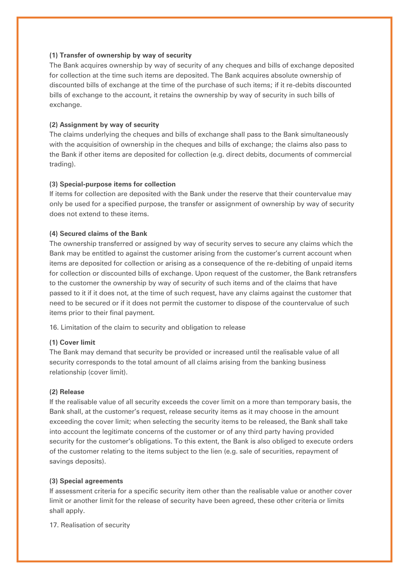## **(1) Transfer of ownership by way of security**

The Bank acquires ownership by way of security of any cheques and bills of exchange deposited for collection at the time such items are deposited. The Bank acquires absolute ownership of discounted bills of exchange at the time of the purchase of such items; if it re-debits discounted bills of exchange to the account, it retains the ownership by way of security in such bills of exchange.

## **(2) Assignment by way of security**

The claims underlying the cheques and bills of exchange shall pass to the Bank simultaneously with the acquisition of ownership in the cheques and bills of exchange; the claims also pass to the Bank if other items are deposited for collection (e.g. direct debits, documents of commercial trading).

## **(3) Special-purpose items for collection**

If items for collection are deposited with the Bank under the reserve that their countervalue may only be used for a specified purpose, the transfer or assignment of ownership by way of security does not extend to these items.

#### **(4) Secured claims of the Bank**

The ownership transferred or assigned by way of security serves to secure any claims which the Bank may be entitled to against the customer arising from the customer's current account when items are deposited for collection or arising as a consequence of the re-debiting of unpaid items for collection or discounted bills of exchange. Upon request of the customer, the Bank retransfers to the customer the ownership by way of security of such items and of the claims that have passed to it if it does not, at the time of such request, have any claims against the customer that need to be secured or if it does not permit the customer to dispose of the countervalue of such items prior to their final payment.

16. Limitation of the claim to security and obligation to release

## **(1) Cover limit**

The Bank may demand that security be provided or increased until the realisable value of all security corresponds to the total amount of all claims arising from the banking business relationship (cover limit).

#### **(2) Release**

If the realisable value of all security exceeds the cover limit on a more than temporary basis, the Bank shall, at the customer's request, release security items as it may choose in the amount exceeding the cover limit; when selecting the security items to be released, the Bank shall take into account the legitimate concerns of the customer or of any third party having provided security for the customer's obligations. To this extent, the Bank is also obliged to execute orders of the customer relating to the items subject to the lien (e.g. sale of securities, repayment of savings deposits).

#### **(3) Special agreements**

If assessment criteria for a specific security item other than the realisable value or another cover limit or another limit for the release of security have been agreed, these other criteria or limits shall apply.

17. Realisation of security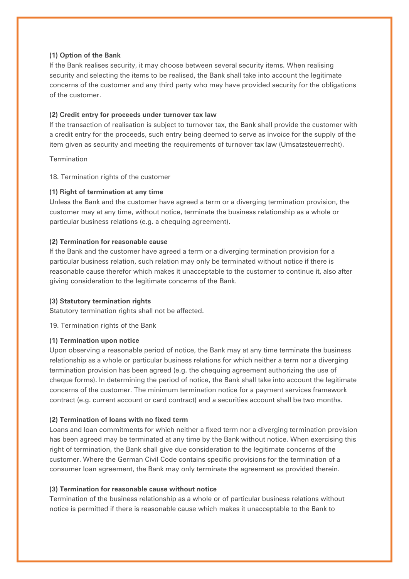## **(1) Option of the Bank**

If the Bank realises security, it may choose between several security items. When realising security and selecting the items to be realised, the Bank shall take into account the legitimate concerns of the customer and any third party who may have provided security for the obligations of the customer.

## **(2) Credit entry for proceeds under turnover tax law**

If the transaction of realisation is subject to turnover tax, the Bank shall provide the customer with a credit entry for the proceeds, such entry being deemed to serve as invoice for the supply of the item given as security and meeting the requirements of turnover tax law (Umsatzsteuerrecht).

**Termination** 

18. Termination rights of the customer

## **(1) Right of termination at any time**

Unless the Bank and the customer have agreed a term or a diverging termination provision, the customer may at any time, without notice, terminate the business relationship as a whole or particular business relations (e.g. a chequing agreement).

## **(2) Termination for reasonable cause**

If the Bank and the customer have agreed a term or a diverging termination provision for a particular business relation, such relation may only be terminated without notice if there is reasonable cause therefor which makes it unacceptable to the customer to continue it, also after giving consideration to the legitimate concerns of the Bank.

## **(3) Statutory termination rights**

Statutory termination rights shall not be affected.

19. Termination rights of the Bank

## **(1) Termination upon notice**

Upon observing a reasonable period of notice, the Bank may at any time terminate the business relationship as a whole or particular business relations for which neither a term nor a diverging termination provision has been agreed (e.g. the chequing agreement authorizing the use of cheque forms). In determining the period of notice, the Bank shall take into account the legitimate concerns of the customer. The minimum termination notice for a payment services framework contract (e.g. current account or card contract) and a securities account shall be two months.

## **(2) Termination of loans with no fixed term**

Loans and loan commitments for which neither a fixed term nor a diverging termination provision has been agreed may be terminated at any time by the Bank without notice. When exercising this right of termination, the Bank shall give due consideration to the legitimate concerns of the customer. Where the German Civil Code contains specific provisions for the termination of a consumer loan agreement, the Bank may only terminate the agreement as provided therein.

## **(3) Termination for reasonable cause without notice**

Termination of the business relationship as a whole or of particular business relations without notice is permitted if there is reasonable cause which makes it unacceptable to the Bank to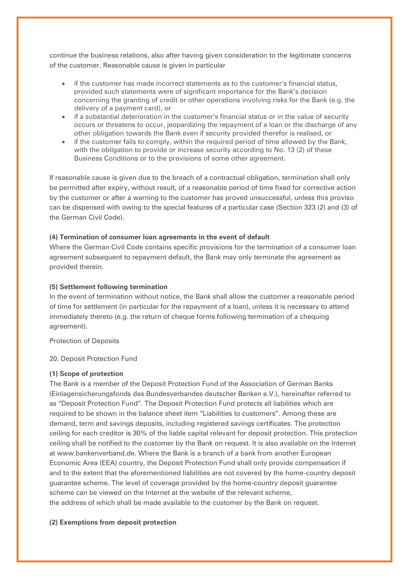continue the business relations, also after having given consideration to the legitimate concerns of the customer. Reasonable cause is given in particular

- if the customer has made incorrect statements as to the customer's financial status, provided such statements were of significant importance for the Bank's decision concerning the granting of credit or other operations involving risks for the Bank (e.g. the delivery of a payment card), or
- if a substantial deterioration in the customer's financial status or in the value of security occurs or threatens to occur, jeopardizing the repayment of a loan or the discharge of any other obligation towards the Bank even if security provided therefor is realised, or
- if the customer fails to comply, within the required period of time allowed by the Bank, with the obligation to provide or increase security according to No. 13 (2) of these Business Conditions or to the provisions of some other agreement.

If reasonable cause is given due to the breach of a contractual obligation, termination shall only be permitted after expiry, without result, of a reasonable period of time fixed for corrective action by the customer or after a warning to the customer has proved unsuccessful, unless this proviso can be dispensed with owing to the special features of a particular case (Section 323 (2) and (3) of the German Civil Code).

## **(4) Termination of consumer loan agreements in the event of default**

Where the German Civil Code contains specific provisions for the termination of a consumer loan agreement subsequent to repayment default, the Bank may only terminate the agreement as provided therein.

## **(5) Settlement following termination**

In the event of termination without notice, the Bank shall allow the customer a reasonable period of time for settlement (in particular for the repayment of a loan), unless it is necessary to attend immediately thereto (e.g. the return of cheque forms following termination of a chequing agreement).

Protection of Deposits

## 20. Deposit Protection Fund

# **(1) Scope of protection**

The Bank is a member of the Deposit Protection Fund of the Association of German Banks (Einlagensicherungsfonds des Bundesverbandes deutscher Banken e.V.), hereinafter referred to as "Deposit Protection Fund". The Deposit Protection Fund protects all liabilities which are required to be shown in the balance sheet item "Liabilities to customers". Among these are demand, term and savings deposits, including registered savings certificates. The protection ceiling for each creditor is 30% of the liable capital relevant for deposit protection. This protection ceiling shall be notified to the customer by the Bank on request. It is also available on the Internet at www.bankenverband.de. Where the Bank is a branch of a bank from another European Economic Area (EEA) country, the Deposit Protection Fund shall only provide compensation if and to the extent that the aforementioned liabilities are not covered by the home-country deposit guarantee scheme. The level of coverage provided by the home-country deposit guarantee scheme can be viewed on the Internet at the website of the relevant scheme, the address of which shall be made available to the customer by the Bank on request.

# **(2) Exemptions from deposit protection**